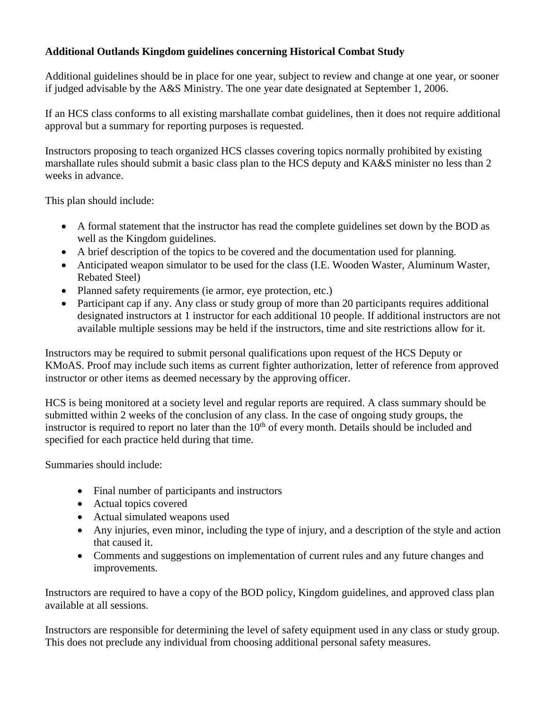## **Additional Outlands Kingdom guidelines concerning Historical Combat Study**

Additional guidelines should be in place for one year, subject to review and change at one year, or sooner if judged advisable by the A&S Ministry. The one year date designated at September 1, 2006.

If an HCS class conforms to all existing marshallate combat guidelines, then it does not require additional approval but a summary for reporting purposes is requested.

Instructors proposing to teach organized HCS classes covering topics normally prohibited by existing marshallate rules should submit a basic class plan to the HCS deputy and KA&S minister no less than 2 weeks in advance.

This plan should include:

- A formal statement that the instructor has read the complete guidelines set down by the BOD as well as the Kingdom guidelines.
- A brief description of the topics to be covered and the documentation used for planning.
- Anticipated weapon simulator to be used for the class (I.E. Wooden Waster, Aluminum Waster, Rebated Steel)
- Planned safety requirements (ie armor, eye protection, etc.)
- Participant cap if any. Any class or study group of more than 20 participants requires additional designated instructors at 1 instructor for each additional 10 people. If additional instructors are not available multiple sessions may be held if the instructors, time and site restrictions allow for it.

Instructors may be required to submit personal qualifications upon request of the HCS Deputy or KMoAS. Proof may include such items as current fighter authorization, letter of reference from approved instructor or other items as deemed necessary by the approving officer.

HCS is being monitored at a society level and regular reports are required. A class summary should be submitted within 2 weeks of the conclusion of any class. In the case of ongoing study groups, the instructor is required to report no later than the  $10<sup>th</sup>$  of every month. Details should be included and specified for each practice held during that time.

Summaries should include:

- Final number of participants and instructors
- Actual topics covered
- Actual simulated weapons used
- Any injuries, even minor, including the type of injury, and a description of the style and action that caused it.
- Comments and suggestions on implementation of current rules and any future changes and improvements.

Instructors are required to have a copy of the BOD policy, Kingdom guidelines, and approved class plan available at all sessions.

Instructors are responsible for determining the level of safety equipment used in any class or study group. This does not preclude any individual from choosing additional personal safety measures.